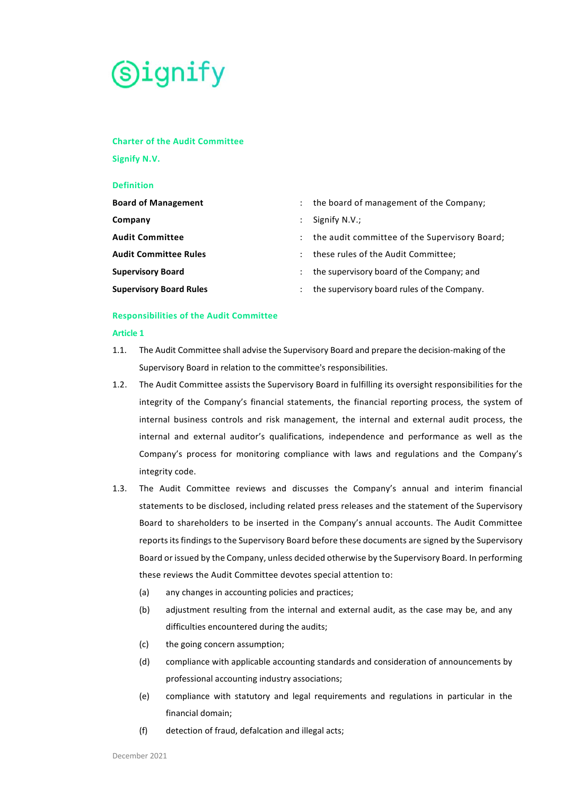

# **Charter of the Audit Committee**

**Signify N.V.** 

#### **Definition**

| <b>Board of Management</b>     |                           | the board of management of the Company;       |
|--------------------------------|---------------------------|-----------------------------------------------|
| Company                        |                           | Signify N.V.;                                 |
| <b>Audit Committee</b>         | $\mathbb{R}^{\mathbb{Z}}$ | the audit committee of the Supervisory Board; |
| <b>Audit Committee Rules</b>   |                           | these rules of the Audit Committee;           |
| <b>Supervisory Board</b>       |                           | the supervisory board of the Company; and     |
| <b>Supervisory Board Rules</b> |                           | the supervisory board rules of the Company.   |

# **Responsibilities of the Audit Committee**

#### **Article 1**

- 1.1. The Audit Committee shall advise the Supervisory Board and prepare the decision-making of the Supervisory Board in relation to the committee's responsibilities.
- 1.2. The Audit Committee assists the Supervisory Board in fulfilling its oversight responsibilities for the integrity of the Company's financial statements, the financial reporting process, the system of internal business controls and risk management, the internal and external audit process, the internal and external auditor's qualifications, independence and performance as well as the Company's process for monitoring compliance with laws and regulations and the Company's integrity code.
- 1.3. The Audit Committee reviews and discusses the Company's annual and interim financial statements to be disclosed, including related press releases and the statement of the Supervisory Board to shareholders to be inserted in the Company's annual accounts. The Audit Committee reports its findings to the Supervisory Board before these documents are signed by the Supervisory Board or issued by the Company, unless decided otherwise by the Supervisory Board. In performing these reviews the Audit Committee devotes special attention to:
	- (a) any changes in accounting policies and practices;
	- (b) adjustment resulting from the internal and external audit, as the case may be, and any difficulties encountered during the audits;
	- (c) the going concern assumption;
	- (d) compliance with applicable accounting standards and consideration of announcements by professional accounting industry associations;
	- (e) compliance with statutory and legal requirements and regulations in particular in the financial domain;
	- (f) detection of fraud, defalcation and illegal acts;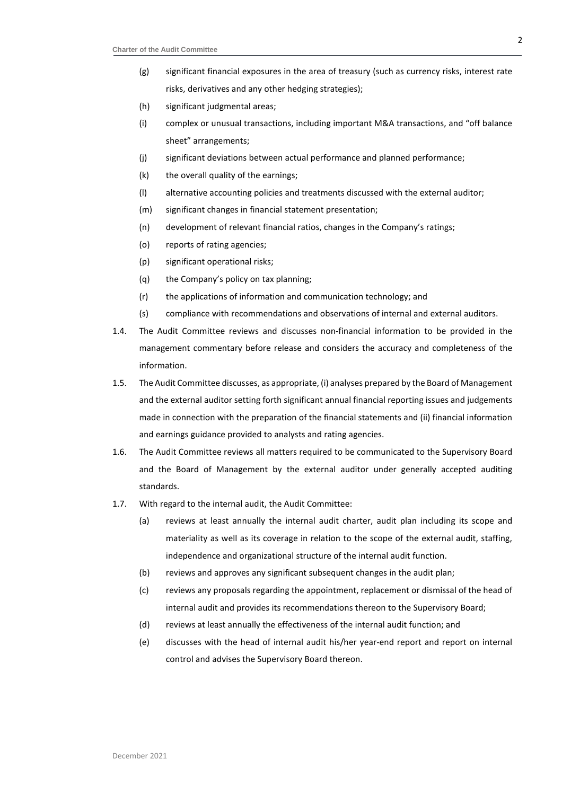- (g) significant financial exposures in the area of treasury (such as currency risks, interest rate risks, derivatives and any other hedging strategies);
- (h) significant judgmental areas;
- (i) complex or unusual transactions, including important M&A transactions, and "off balance sheet" arrangements;
- (j) significant deviations between actual performance and planned performance;
- (k) the overall quality of the earnings;
- (l) alternative accounting policies and treatments discussed with the external auditor;
- (m) significant changes in financial statement presentation;
- (n) development of relevant financial ratios, changes in the Company's ratings;
- (o) reports of rating agencies;
- (p) significant operational risks;
- (q) the Company's policy on tax planning;
- (r) the applications of information and communication technology; and
- (s) compliance with recommendations and observations of internal and external auditors.
- 1.4. The Audit Committee reviews and discusses non-financial information to be provided in the management commentary before release and considers the accuracy and completeness of the information.
- 1.5. The Audit Committee discusses, as appropriate, (i) analyses prepared by the Board of Management and the external auditor setting forth significant annual financial reporting issues and judgements made in connection with the preparation of the financial statements and (ii) financial information and earnings guidance provided to analysts and rating agencies.
- 1.6. The Audit Committee reviews all matters required to be communicated to the Supervisory Board and the Board of Management by the external auditor under generally accepted auditing standards.
- 1.7. With regard to the internal audit, the Audit Committee:
	- (a) reviews at least annually the internal audit charter, audit plan including its scope and materiality as well as its coverage in relation to the scope of the external audit, staffing, independence and organizational structure of the internal audit function.
	- (b) reviews and approves any significant subsequent changes in the audit plan;
	- (c) reviews any proposals regarding the appointment, replacement or dismissal of the head of internal audit and provides its recommendations thereon to the Supervisory Board;
	- (d) reviews at least annually the effectiveness of the internal audit function; and
	- (e) discusses with the head of internal audit his/her year-end report and report on internal control and advises the Supervisory Board thereon.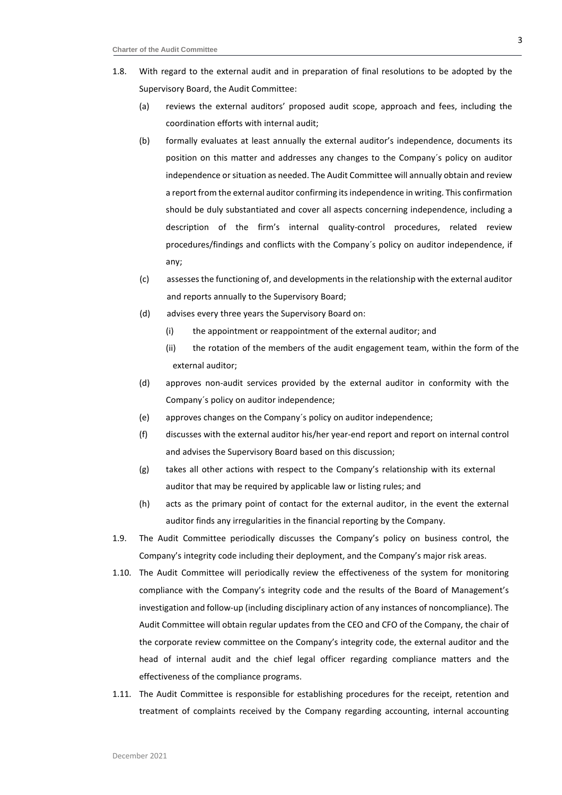- 1.8. With regard to the external audit and in preparation of final resolutions to be adopted by the Supervisory Board, the Audit Committee:
	- (a) reviews the external auditors' proposed audit scope, approach and fees, including the coordination efforts with internal audit;
	- (b) formally evaluates at least annually the external auditor's independence, documents its position on this matter and addresses any changes to the Company´s policy on auditor independence or situation as needed. The Audit Committee will annually obtain and review a report from the external auditor confirming its independence in writing. This confirmation should be duly substantiated and cover all aspects concerning independence, including a description of the firm's internal quality-control procedures, related review procedures/findings and conflicts with the Company´s policy on auditor independence, if any;
	- (c) assesses the functioning of, and developments in the relationship with the external auditor and reports annually to the Supervisory Board;
	- (d) advises every three years the Supervisory Board on:
		- (i) the appointment or reappointment of the external auditor; and
		- (ii) the rotation of the members of the audit engagement team, within the form of the external auditor;
	- (d) approves non-audit services provided by the external auditor in conformity with the Company´s policy on auditor independence;
	- (e) approves changes on the Company´s policy on auditor independence;
	- (f) discusses with the external auditor his/her year-end report and report on internal control and advises the Supervisory Board based on this discussion;
	- (g) takes all other actions with respect to the Company's relationship with its external auditor that may be required by applicable law or listing rules; and
	- (h) acts as the primary point of contact for the external auditor, in the event the external auditor finds any irregularities in the financial reporting by the Company.
- 1.9. The Audit Committee periodically discusses the Company's policy on business control, the Company's integrity code including their deployment, and the Company's major risk areas.
- 1.10. The Audit Committee will periodically review the effectiveness of the system for monitoring compliance with the Company's integrity code and the results of the Board of Management's investigation and follow-up (including disciplinary action of any instances of noncompliance). The Audit Committee will obtain regular updates from the CEO and CFO of the Company, the chair of the corporate review committee on the Company's integrity code, the external auditor and the head of internal audit and the chief legal officer regarding compliance matters and the effectiveness of the compliance programs.
- 1.11. The Audit Committee is responsible for establishing procedures for the receipt, retention and treatment of complaints received by the Company regarding accounting, internal accounting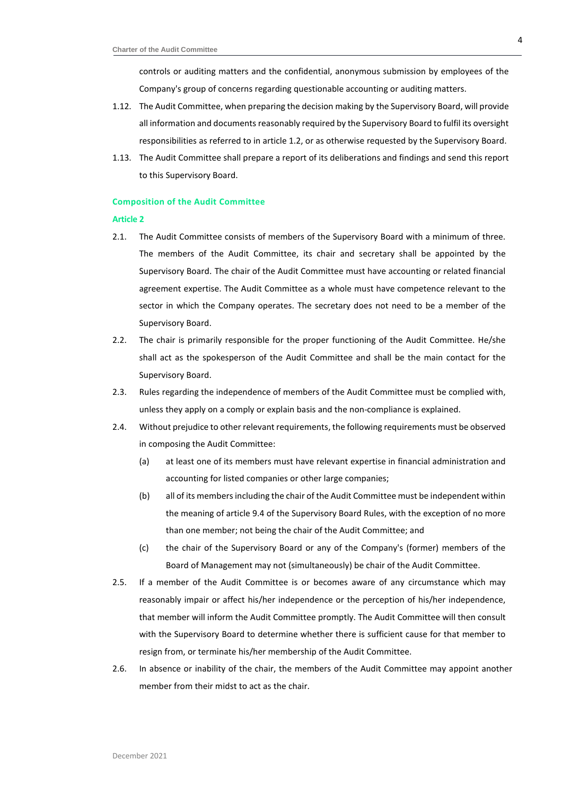controls or auditing matters and the confidential, anonymous submission by employees of the Company's group of concerns regarding questionable accounting or auditing matters.

- 1.12. The Audit Committee, when preparing the decision making by the Supervisory Board, will provide all information and documents reasonably required by the Supervisory Board to fulfil its oversight responsibilities as referred to in article 1.2, or as otherwise requested by the Supervisory Board.
- 1.13. The Audit Committee shall prepare a report of its deliberations and findings and send this report to this Supervisory Board.

## **Composition of the Audit Committee**

#### **Article 2**

- 2.1. The Audit Committee consists of members of the Supervisory Board with a minimum of three. The members of the Audit Committee, its chair and secretary shall be appointed by the Supervisory Board. The chair of the Audit Committee must have accounting or related financial agreement expertise. The Audit Committee as a whole must have competence relevant to the sector in which the Company operates. The secretary does not need to be a member of the Supervisory Board.
- 2.2. The chair is primarily responsible for the proper functioning of the Audit Committee. He/she shall act as the spokesperson of the Audit Committee and shall be the main contact for the Supervisory Board.
- 2.3. Rules regarding the independence of members of the Audit Committee must be complied with, unless they apply on a comply or explain basis and the non-compliance is explained.
- 2.4. Without prejudice to other relevant requirements, the following requirements must be observed in composing the Audit Committee:
	- (a) at least one of its members must have relevant expertise in financial administration and accounting for listed companies or other large companies;
	- (b) all of its members including the chair of the Audit Committee must be independent within the meaning of article 9.4 of the Supervisory Board Rules, with the exception of no more than one member; not being the chair of the Audit Committee; and
	- (c) the chair of the Supervisory Board or any of the Company's (former) members of the Board of Management may not (simultaneously) be chair of the Audit Committee.
- 2.5. If a member of the Audit Committee is or becomes aware of any circumstance which may reasonably impair or affect his/her independence or the perception of his/her independence, that member will inform the Audit Committee promptly. The Audit Committee will then consult with the Supervisory Board to determine whether there is sufficient cause for that member to resign from, or terminate his/her membership of the Audit Committee.
- 2.6. In absence or inability of the chair, the members of the Audit Committee may appoint another member from their midst to act as the chair.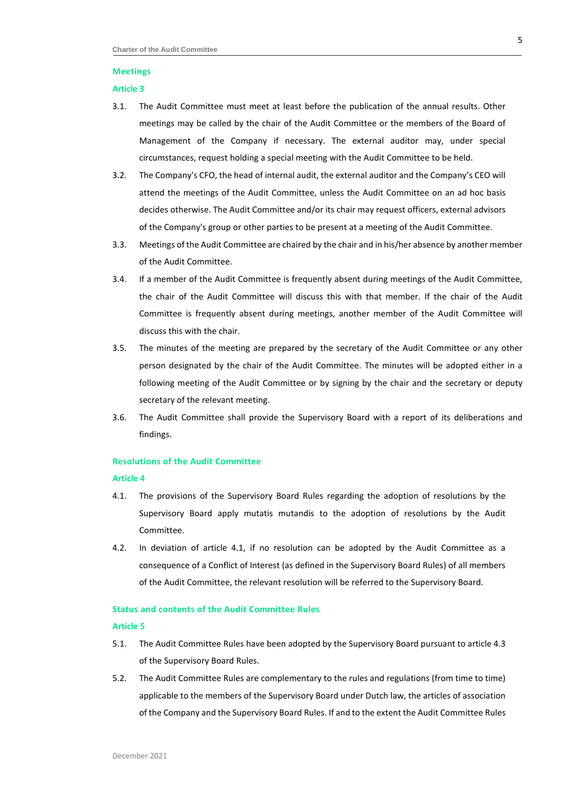# **Meetings**

#### **Article 3**

- 3.1. The Audit Committee must meet at least before the publication of the annual results. Other meetings may be called by the chair of the Audit Committee or the members of the Board of Management of the Company if necessary. The external auditor may, under special circumstances, request holding a special meeting with the Audit Committee to be held.
- 3.2. The Company's CFO, the head of internal audit, the external auditor and the Company's CEO will attend the meetings of the Audit Committee, unless the Audit Committee on an ad hoc basis decides otherwise. The Audit Committee and/or its chair may request officers, external advisors of the Company's group or other parties to be present at a meeting of the Audit Committee.
- 3.3. Meetings of the Audit Committee are chaired by the chair and in his/her absence by another member of the Audit Committee.
- 3.4. If a member of the Audit Committee is frequently absent during meetings of the Audit Committee, the chair of the Audit Committee will discuss this with that member. If the chair of the Audit Committee is frequently absent during meetings, another member of the Audit Committee will discuss this with the chair.
- 3.5. The minutes of the meeting are prepared by the secretary of the Audit Committee or any other person designated by the chair of the Audit Committee. The minutes will be adopted either in a following meeting of the Audit Committee or by signing by the chair and the secretary or deputy secretary of the relevant meeting.
- 3.6. The Audit Committee shall provide the Supervisory Board with a report of its deliberations and findings.

# **Resolutions of the Audit Committee**

# **Article 4**

- 4.1. The provisions of the Supervisory Board Rules regarding the adoption of resolutions by the Supervisory Board apply mutatis mutandis to the adoption of resolutions by the Audit Committee.
- 4.2. In deviation of article 4.1, if no resolution can be adopted by the Audit Committee as a consequence of a Conflict of Interest (as defined in the Supervisory Board Rules) of all members of the Audit Committee, the relevant resolution will be referred to the Supervisory Board.

#### **Status and contents of the Audit Committee Rules**

#### **Article 5**

- 5.1. The Audit Committee Rules have been adopted by the Supervisory Board pursuant to article 4.3 of the Supervisory Board Rules.
- 5.2. The Audit Committee Rules are complementary to the rules and regulations (from time to time) applicable to the members of the Supervisory Board under Dutch law, the articles of association of the Company and the Supervisory Board Rules. If and to the extent the Audit Committee Rules